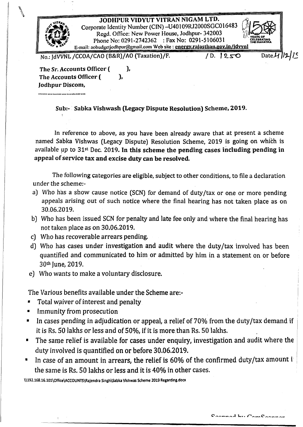JODHPUR VIDYUT VITRAN NIGAM LTD. Corporate Identity Number (CIN) -U40109RJ2000SGC016483 Regd. Office: New Power House, Jodhpur- 342003 Phone No: 0291-2742362 : Fax No: 0291-5106031 E-mail: aobudgctjodhpur@gmail.com Web site: cnergy.rajasthan.gov.in/idvvn



No.: IdVVNL /CCOA/CAO (B&R)/AO (Taxation)/F. / D. 1250 Date.4 /2/15

The Sr. Accounts Officer ( ), The Accounts Officer (Fig.  $\qquad$ ), Jodhpur Discom, ...............................

\

SUb:- Sabka Vishwash (Legacy Dispute Resolution) Scheme, 2019.

In reference to above, as you have been already aware that at present a scheme named Sabka Vishwas (Legacy Dispute) Resolution Scheme, 2019 is going on which is available up to  $31st$  Dec. 2019. In this scheme the pending cases including pending in appeal of service tax and excise duty can be resolved.

The following categories are eligible, subject to other conditions, to file a declaration under the schemer-

- a) Who has a show cause notice (SCN) for demand of duty/tax or one or more pending appeals arising out of such notice where the final hearing has not taken place as on 30.06.2019.
- b) Who has been issued SCN for penalty and late fee only and where the final hearing has not taken place as on 30.06.2019.
- c) Who has recoverable arrears pending.
- d) Who has cases under investigation and audit where the duty/tax involved has been quantified and communicated to him or admitted by him in a statement on or before 30th Iune, 2019.
- e) Who wants to make a voluntary disclosure.

The Various benefits available under the Scheme are:-

- Total waiver of interest and penalty
- Immunity from prosecution
- In cases pending in adjudication or appeal, a relief of 70% from the duty/tax demand if it is Rs. 50 lakhs or less and of 50%, if it is more than Rs. 50 lakhs.
- The same relief is available for cases under enquiry, investigation and audit where the duty involved is quantified on or before 30.06.2019.
- In case of an amount in arrears, the relief is 60% of the confirmed duty/tax amount i the same is Rs. 50 lakhs or less and it is 40% in other cases.

\\192.168.16.101\Office\ACCOUNTS\Rajendra Singh\Sabka Vishwas Scheme 2019 Regarding.docx